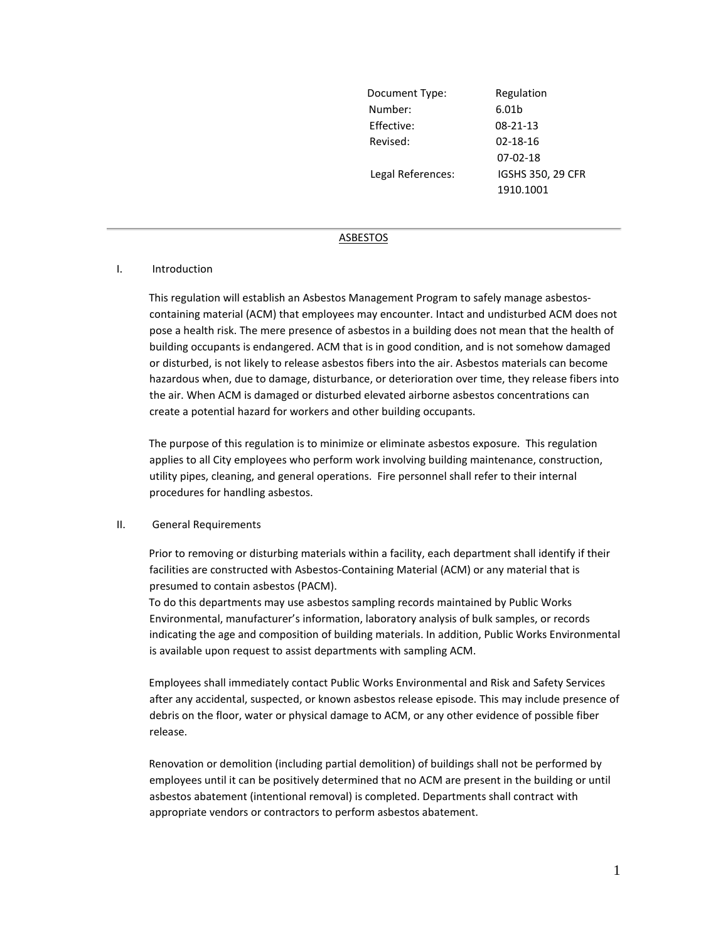| Document Type:    | Regulation        |
|-------------------|-------------------|
| Number:           | 6.01b             |
| Effective:        | $08 - 21 - 13$    |
| Revised:          | 02-18-16          |
|                   | $07-02-18$        |
| Legal References: | IGSHS 350, 29 CFR |
|                   | 1910.1001         |

## ASBESTOS

#### I. Introduction

This regulation will establish an Asbestos Management Program to safely manage asbestoscontaining material (ACM) that employees may encounter. Intact and undisturbed ACM does not pose a health risk. The mere presence of asbestos in a building does not mean that the health of building occupants is endangered. ACM that is in good condition, and is not somehow damaged or disturbed, is not likely to release asbestos fibers into the air. Asbestos materials can become hazardous when, due to damage, disturbance, or deterioration over time, they release fibers into the air. When ACM is damaged or disturbed elevated airborne asbestos concentrations can create a potential hazard for workers and other building occupants.

The purpose of this regulation is to minimize or eliminate asbestos exposure. This regulation applies to all City employees who perform work involving building maintenance, construction, utility pipes, cleaning, and general operations. Fire personnel shall refer to their internal procedures for handling asbestos.

#### II. General Requirements

Prior to removing or disturbing materials within a facility, each department shall identify if their facilities are constructed with Asbestos-Containing Material (ACM) or any material that is presumed to contain asbestos (PACM).

To do this departments may use asbestos sampling records maintained by Public Works Environmental, manufacturer's information, laboratory analysis of bulk samples, or records indicating the age and composition of building materials. In addition, Public Works Environmental is available upon request to assist departments with sampling ACM.

Employees shall immediately contact Public Works Environmental and Risk and Safety Services after any accidental, suspected, or known asbestos release episode. This may include presence of debris on the floor, water or physical damage to ACM, or any other evidence of possible fiber release.

Renovation or demolition (including partial demolition) of buildings shall not be performed by employees until it can be positively determined that no ACM are present in the building or until asbestos abatement (intentional removal) is completed. Departments shall contract with appropriate vendors or contractors to perform asbestos abatement.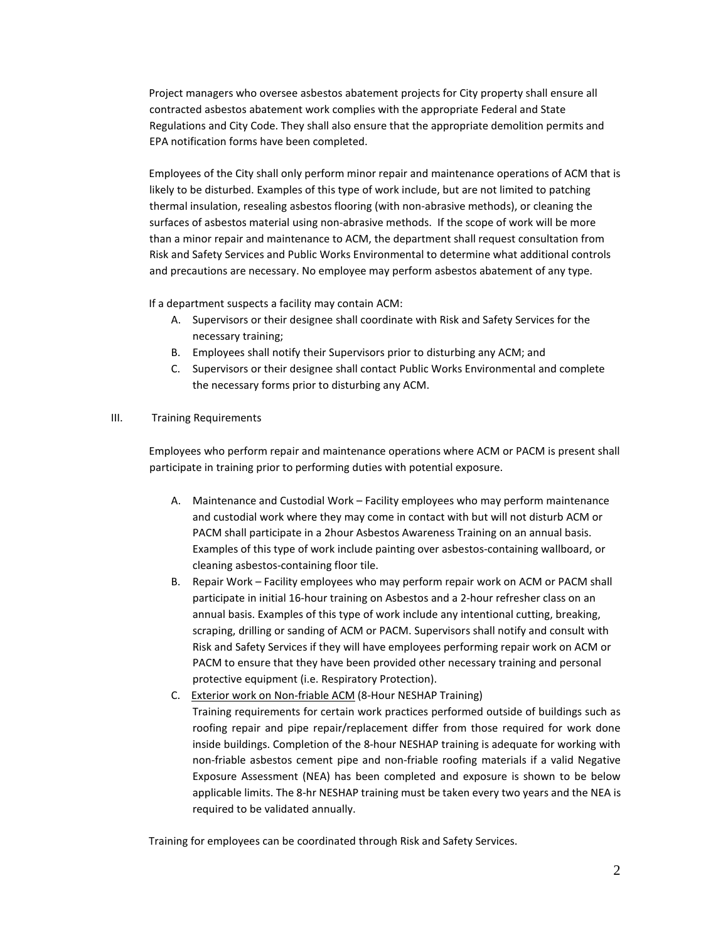Project managers who oversee asbestos abatement projects for City property shall ensure all contracted asbestos abatement work complies with the appropriate Federal and State Regulations and City Code. They shall also ensure that the appropriate demolition permits and EPA notification forms have been completed.

Employees of the City shall only perform minor repair and maintenance operations of ACM that is likely to be disturbed. Examples of this type of work include, but are not limited to patching thermal insulation, resealing asbestos flooring (with non-abrasive methods), or cleaning the surfaces of asbestos material using non-abrasive methods. If the scope of work will be more than a minor repair and maintenance to ACM, the department shall request consultation from Risk and Safety Services and Public Works Environmental to determine what additional controls and precautions are necessary. No employee may perform asbestos abatement of any type.

If a department suspects a facility may contain ACM:

- A. Supervisors or their designee shall coordinate with Risk and Safety Services for the necessary training;
- B. Employees shall notify their Supervisors prior to disturbing any ACM; and
- C. Supervisors or their designee shall contact Public Works Environmental and complete the necessary forms prior to disturbing any ACM.

## III. Training Requirements

Employees who perform repair and maintenance operations where ACM or PACM is present shall participate in training prior to performing duties with potential exposure.

- A. Maintenance and Custodial Work Facility employees who may perform maintenance and custodial work where they may come in contact with but will not disturb ACM or PACM shall participate in a 2hour Asbestos Awareness Training on an annual basis. Examples of this type of work include painting over asbestos-containing wallboard, or cleaning asbestos-containing floor tile.
- B. Repair Work Facility employees who may perform repair work on ACM or PACM shall participate in initial 16-hour training on Asbestos and a 2-hour refresher class on an annual basis. Examples of this type of work include any intentional cutting, breaking, scraping, drilling or sanding of ACM or PACM. Supervisors shall notify and consult with Risk and Safety Services if they will have employees performing repair work on ACM or PACM to ensure that they have been provided other necessary training and personal protective equipment (i.e. Respiratory Protection).
- C. Exterior work on Non-friable ACM (8-Hour NESHAP Training) Training requirements for certain work practices performed outside of buildings such as roofing repair and pipe repair/replacement differ from those required for work done inside buildings. Completion of the 8-hour NESHAP training is adequate for working with non-friable asbestos cement pipe and non-friable roofing materials if a valid Negative Exposure Assessment (NEA) has been completed and exposure is shown to be below applicable limits. The 8-hr NESHAP training must be taken every two years and the NEA is required to be validated annually.

Training for employees can be coordinated through Risk and Safety Services.